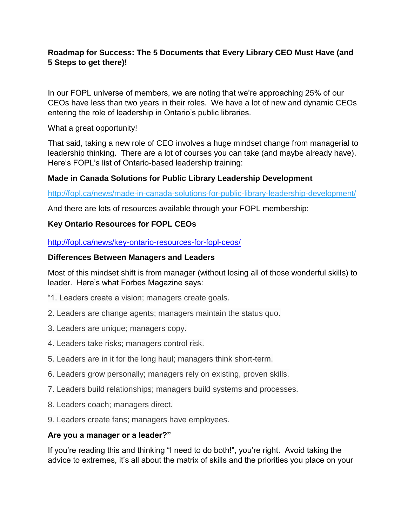## **Roadmap for Success: The 5 Documents that Every Library CEO Must Have (and 5 Steps to get there)!**

In our FOPL universe of members, we are noting that we're approaching 25% of our CEOs have less than two years in their roles. We have a lot of new and dynamic CEOs entering the role of leadership in Ontario's public libraries.

What a great opportunity!

That said, taking a new role of CEO involves a huge mindset change from managerial to leadership thinking. There are a lot of courses you can take (and maybe already have). Here's FOPL's list of Ontario-based leadership training:

### **Made in Canada Solutions for Public Library Leadership Development**

<http://fopl.ca/news/made-in-canada-solutions-for-public-library-leadership-development/>

And there are lots of resources available through your FOPL membership:

### **Key Ontario Resources for FOPL CEOs**

<http://fopl.ca/news/key-ontario-resources-for-fopl-ceos/>

#### **Differences Between Managers and Leaders**

Most of this mindset shift is from manager (without losing all of those wonderful skills) to leader. Here's what Forbes Magazine says:

- "1. Leaders create a vision; managers create goals.
- 2. Leaders are change agents; managers maintain the status quo.
- 3. Leaders are unique; managers copy.
- 4. Leaders take risks; managers control risk.
- 5. Leaders are in it for the long haul; managers think short-term.
- 6. Leaders grow personally; managers rely on existing, proven skills.
- 7. Leaders build relationships; managers build systems and processes.
- 8. Leaders coach; managers direct.
- 9. Leaders create fans; managers have employees.

### **Are you a manager or a leader?"**

If you're reading this and thinking "I need to do both!", you're right. Avoid taking the advice to extremes, it's all about the matrix of skills and the priorities you place on your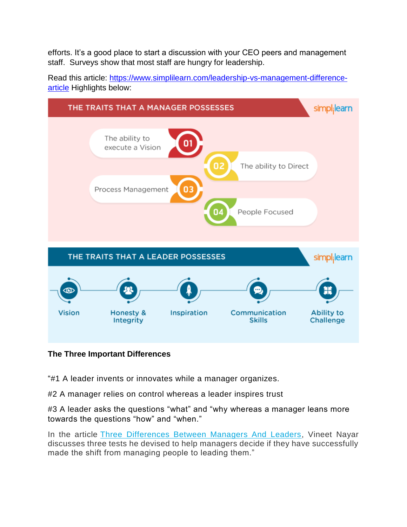efforts. It's a good place to start a discussion with your CEO peers and management staff. Surveys show that most staff are hungry for leadership.



Read this article: [https://www.simplilearn.com/leadership-vs-management-difference](https://www.simplilearn.com/leadership-vs-management-difference-article)[article](https://www.simplilearn.com/leadership-vs-management-difference-article) Highlights below:

### **The Three Important Differences**

"#1 A leader invents or innovates while a manager organizes.

#2 A manager relies on control whereas a leader inspires trust

#3 A leader asks the questions "what" and "why whereas a manager leans more towards the questions "how" and "when."

In the article [Three Differences Between Managers And Leaders,](https://hbr.org/2013/08/tests-of-a-leadership-transiti) Vineet Nayar discusses three tests he devised to help managers decide if they have successfully made the shift from managing people to leading them."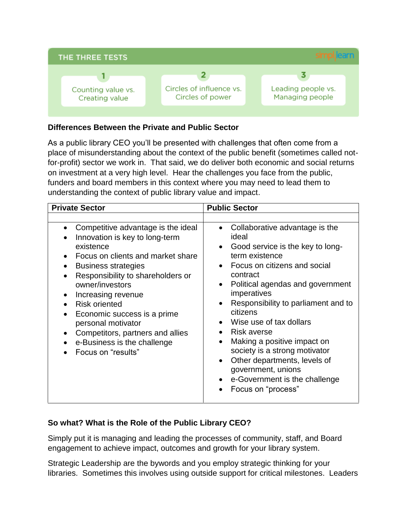

#### **Differences Between the Private and Public Sector**

As a public library CEO you'll be presented with challenges that often come from a place of misunderstanding about the context of the public benefit (sometimes called notfor-profit) sector we work in. That said, we do deliver both economic and social returns on investment at a very high level. Hear the challenges you face from the public, funders and board members in this context where you may need to lead them to understanding the context of public library value and impact.

| <b>Private Sector</b>                                                                                                                                                                                                                                                                                                                                                                                                                        | <b>Public Sector</b>                                                                                                                                                                                                                                                                                                                                                                                                                                                                                                                                                                                            |
|----------------------------------------------------------------------------------------------------------------------------------------------------------------------------------------------------------------------------------------------------------------------------------------------------------------------------------------------------------------------------------------------------------------------------------------------|-----------------------------------------------------------------------------------------------------------------------------------------------------------------------------------------------------------------------------------------------------------------------------------------------------------------------------------------------------------------------------------------------------------------------------------------------------------------------------------------------------------------------------------------------------------------------------------------------------------------|
|                                                                                                                                                                                                                                                                                                                                                                                                                                              |                                                                                                                                                                                                                                                                                                                                                                                                                                                                                                                                                                                                                 |
| Competitive advantage is the ideal<br>$\bullet$<br>Innovation is key to long-term<br>existence<br>Focus on clients and market share<br>٠<br><b>Business strategies</b><br>Responsibility to shareholders or<br>$\bullet$<br>owner/investors<br>Increasing revenue<br>٠<br><b>Risk oriented</b><br>Economic success is a prime<br>personal motivator<br>Competitors, partners and allies<br>e-Business is the challenge<br>Focus on "results" | Collaborative advantage is the<br>$\bullet$<br>ideal<br>Good service is the key to long-<br>$\bullet$<br>term existence<br>Focus on citizens and social<br>$\bullet$<br>contract<br>Political agendas and government<br>$\bullet$<br>imperatives<br>Responsibility to parliament and to<br>$\bullet$<br>citizens<br>Wise use of tax dollars<br>$\bullet$<br><b>Risk averse</b><br>$\bullet$<br>Making a positive impact on<br>$\bullet$<br>society is a strong motivator<br>Other departments, levels of<br>$\bullet$<br>government, unions<br>e-Government is the challenge<br>$\bullet$<br>Focus on "process" |

### **So what? What is the Role of the Public Library CEO?**

Simply put it is managing and leading the processes of community, staff, and Board engagement to achieve impact, outcomes and growth for your library system.

Strategic Leadership are the bywords and you employ strategic thinking for your libraries. Sometimes this involves using outside support for critical milestones. Leaders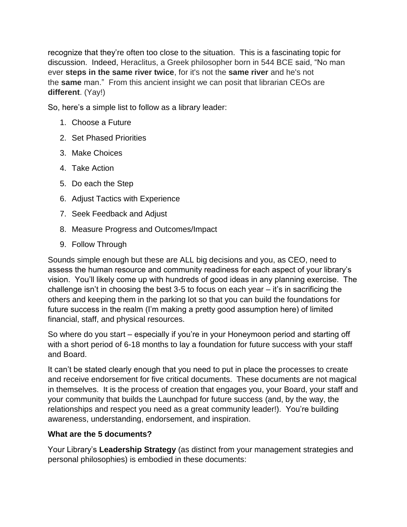recognize that they're often too close to the situation. This is a fascinating topic for discussion. Indeed, Heraclitus, a Greek philosopher born in 544 BCE said, "No man ever **steps in the same river twice**, for it's not the **same river** and he's not the **same** man." From this ancient insight we can posit that librarian CEOs are **different**. (Yay!)

So, here's a simple list to follow as a library leader:

- 1. Choose a Future
- 2. Set Phased Priorities
- 3. Make Choices
- 4. Take Action
- 5. Do each the Step
- 6. Adjust Tactics with Experience
- 7. Seek Feedback and Adjust
- 8. Measure Progress and Outcomes/Impact
- 9. Follow Through

Sounds simple enough but these are ALL big decisions and you, as CEO, need to assess the human resource and community readiness for each aspect of your library's vision. You'll likely come up with hundreds of good ideas in any planning exercise. The challenge isn't in choosing the best 3-5 to focus on each year – it's in sacrificing the others and keeping them in the parking lot so that you can build the foundations for future success in the realm (I'm making a pretty good assumption here) of limited financial, staff, and physical resources.

So where do you start – especially if you're in your Honeymoon period and starting off with a short period of 6-18 months to lay a foundation for future success with your staff and Board.

It can't be stated clearly enough that you need to put in place the processes to create and receive endorsement for five critical documents. These documents are not magical in themselves. It is the process of creation that engages you, your Board, your staff and your community that builds the Launchpad for future success (and, by the way, the relationships and respect you need as a great community leader!). You're building awareness, understanding, endorsement, and inspiration.

### **What are the 5 documents?**

Your Library's **Leadership Strategy** (as distinct from your management strategies and personal philosophies) is embodied in these documents: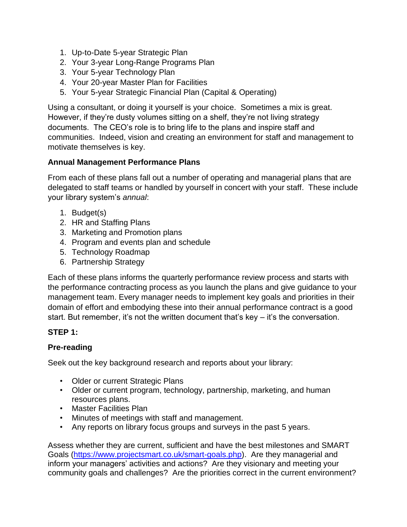- 1. Up-to-Date 5-year Strategic Plan
- 2. Your 3-year Long-Range Programs Plan
- 3. Your 5-year Technology Plan
- 4. Your 20-year Master Plan for Facilities
- 5. Your 5-year Strategic Financial Plan (Capital & Operating)

Using a consultant, or doing it yourself is your choice. Sometimes a mix is great. However, if they're dusty volumes sitting on a shelf, they're not living strategy documents. The CEO's role is to bring life to the plans and inspire staff and communities. Indeed, vision and creating an environment for staff and management to motivate themselves is key.

## **Annual Management Performance Plans**

From each of these plans fall out a number of operating and managerial plans that are delegated to staff teams or handled by yourself in concert with your staff. These include your library system's *annual*:

- 1. Budget(s)
- 2. HR and Staffing Plans
- 3. Marketing and Promotion plans
- 4. Program and events plan and schedule
- 5. Technology Roadmap
- 6. Partnership Strategy

Each of these plans informs the quarterly performance review process and starts with the performance contracting process as you launch the plans and give guidance to your management team. Every manager needs to implement key goals and priorities in their domain of effort and embodying these into their annual performance contract is a good start. But remember, it's not the written document that's key – it's the conversation.

### **STEP 1:**

### **Pre-reading**

Seek out the key background research and reports about your library:

- Older or current Strategic Plans
- Older or current program, technology, partnership, marketing, and human resources plans.
- Master Facilities Plan
- Minutes of meetings with staff and management.
- Any reports on library focus groups and surveys in the past 5 years.

Assess whether they are current, sufficient and have the best milestones and SMART Goals [\(https://www.projectsmart.co.uk/smart-goals.php\)](https://www.projectsmart.co.uk/smart-goals.php). Are they managerial and inform your managers' activities and actions? Are they visionary and meeting your community goals and challenges? Are the priorities correct in the current environment?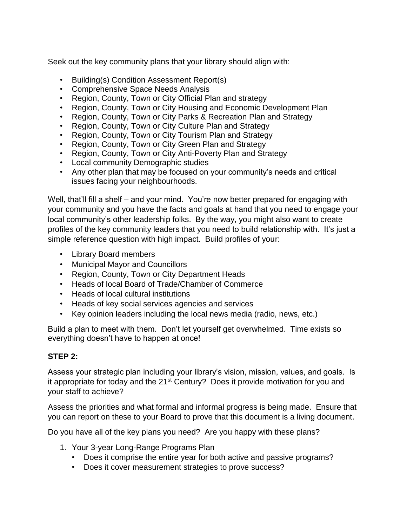Seek out the key community plans that your library should align with:

- Building(s) Condition Assessment Report(s)
- Comprehensive Space Needs Analysis
- Region, County, Town or City Official Plan and strategy
- Region, County, Town or City Housing and Economic Development Plan
- Region, County, Town or City Parks & Recreation Plan and Strategy
- Region, County, Town or City Culture Plan and Strategy
- Region, County, Town or City Tourism Plan and Strategy
- Region, County, Town or City Green Plan and Strategy
- Region, County, Town or City Anti-Poverty Plan and Strategy
- Local community Demographic studies
- Any other plan that may be focused on your community's needs and critical issues facing your neighbourhoods.

Well, that'll fill a shelf – and your mind. You're now better prepared for engaging with your community and you have the facts and goals at hand that you need to engage your local community's other leadership folks. By the way, you might also want to create profiles of the key community leaders that you need to build relationship with. It's just a simple reference question with high impact. Build profiles of your:

- Library Board members
- Municipal Mayor and Councillors
- Region, County, Town or City Department Heads
- Heads of local Board of Trade/Chamber of Commerce
- Heads of local cultural institutions
- Heads of key social services agencies and services
- Key opinion leaders including the local news media (radio, news, etc.)

Build a plan to meet with them. Don't let yourself get overwhelmed. Time exists so everything doesn't have to happen at once!

#### **STEP 2:**

Assess your strategic plan including your library's vision, mission, values, and goals. Is it appropriate for today and the  $21<sup>st</sup>$  Century? Does it provide motivation for you and your staff to achieve?

Assess the priorities and what formal and informal progress is being made. Ensure that you can report on these to your Board to prove that this document is a living document.

Do you have all of the key plans you need? Are you happy with these plans?

- 1. Your 3-year Long-Range Programs Plan
	- Does it comprise the entire year for both active and passive programs?
	- Does it cover measurement strategies to prove success?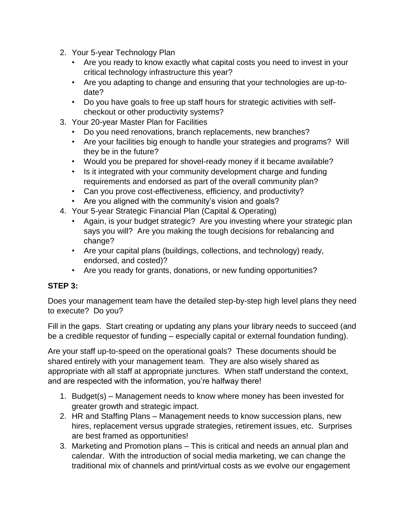- 2. Your 5-year Technology Plan
	- Are you ready to know exactly what capital costs you need to invest in your critical technology infrastructure this year?
	- Are you adapting to change and ensuring that your technologies are up-todate?
	- Do you have goals to free up staff hours for strategic activities with selfcheckout or other productivity systems?
- 3. Your 20-year Master Plan for Facilities
	- Do you need renovations, branch replacements, new branches?
	- Are your facilities big enough to handle your strategies and programs? Will they be in the future?
	- Would you be prepared for shovel-ready money if it became available?
	- Is it integrated with your community development charge and funding requirements and endorsed as part of the overall community plan?
	- Can you prove cost-effectiveness, efficiency, and productivity?
	- Are you aligned with the community's vision and goals?
- 4. Your 5-year Strategic Financial Plan (Capital & Operating)
	- Again, is your budget strategic? Are you investing where your strategic plan says you will? Are you making the tough decisions for rebalancing and change?
	- Are your capital plans (buildings, collections, and technology) ready, endorsed, and costed)?
	- Are you ready for grants, donations, or new funding opportunities?

# **STEP 3:**

Does your management team have the detailed step-by-step high level plans they need to execute? Do you?

Fill in the gaps. Start creating or updating any plans your library needs to succeed (and be a credible requestor of funding – especially capital or external foundation funding).

Are your staff up-to-speed on the operational goals? These documents should be shared entirely with your management team. They are also wisely shared as appropriate with all staff at appropriate junctures. When staff understand the context, and are respected with the information, you're halfway there!

- 1. Budget(s) Management needs to know where money has been invested for greater growth and strategic impact.
- 2. HR and Staffing Plans Management needs to know succession plans, new hires, replacement versus upgrade strategies, retirement issues, etc. Surprises are best framed as opportunities!
- 3. Marketing and Promotion plans This is critical and needs an annual plan and calendar. With the introduction of social media marketing, we can change the traditional mix of channels and print/virtual costs as we evolve our engagement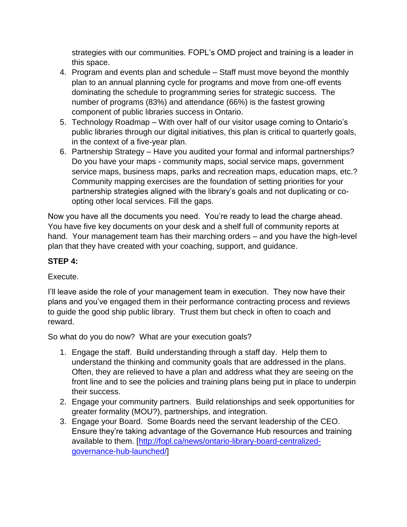strategies with our communities. FOPL's OMD project and training is a leader in this space.

- 4. Program and events plan and schedule Staff must move beyond the monthly plan to an annual planning cycle for programs and move from one-off events dominating the schedule to programming series for strategic success. The number of programs (83%) and attendance (66%) is the fastest growing component of public libraries success in Ontario.
- 5. Technology Roadmap With over half of our visitor usage coming to Ontario's public libraries through our digital initiatives, this plan is critical to quarterly goals, in the context of a five-year plan.
- 6. Partnership Strategy Have you audited your formal and informal partnerships? Do you have your maps - community maps, social service maps, government service maps, business maps, parks and recreation maps, education maps, etc.? Community mapping exercises are the foundation of setting priorities for your partnership strategies aligned with the library's goals and not duplicating or coopting other local services. Fill the gaps.

Now you have all the documents you need. You're ready to lead the charge ahead. You have five key documents on your desk and a shelf full of community reports at hand. Your management team has their marching orders – and you have the high-level plan that they have created with your coaching, support, and guidance.

## **STEP 4:**

### Execute.

I'll leave aside the role of your management team in execution. They now have their plans and you've engaged them in their performance contracting process and reviews to guide the good ship public library. Trust them but check in often to coach and reward.

So what do you do now? What are your execution goals?

- 1. Engage the staff. Build understanding through a staff day. Help them to understand the thinking and community goals that are addressed in the plans. Often, they are relieved to have a plan and address what they are seeing on the front line and to see the policies and training plans being put in place to underpin their success.
- 2. Engage your community partners. Build relationships and seek opportunities for greater formality (MOU?), partnerships, and integration.
- 3. Engage your Board. Some Boards need the servant leadership of the CEO. Ensure they're taking advantage of the Governance Hub resources and training available to them. [\[http://fopl.ca/news/ontario-library-board-centralized](http://fopl.ca/news/ontario-library-board-centralized-governance-hub-launched/)[governance-hub-launched/\]](http://fopl.ca/news/ontario-library-board-centralized-governance-hub-launched/)